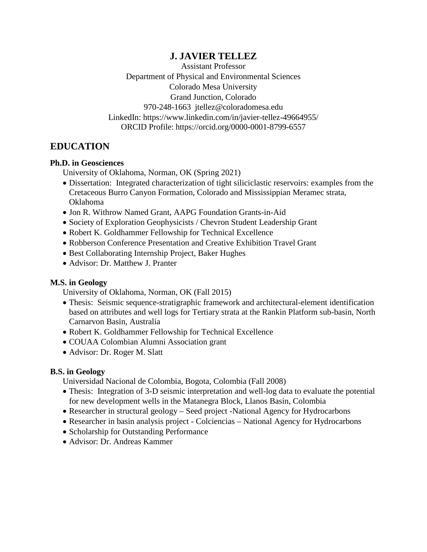## **J. JAVIER TELLEZ**

Assistant Professor Department of Physical and Environmental Sciences Colorado Mesa University Grand Junction, Colorado 970-248-1663 jtellez@coloradomesa.edu LinkedIn: https://www.linkedin.com/in/javier-tellez-49664955/ ORCID Profile: https://orcid.org/0000-0001-8799-6557

## **EDUCATION**

### **Ph.D. in Geosciences**

University of Oklahoma, Norman, OK (Spring 2021)

- Dissertation: Integrated characterization of tight siliciclastic reservoirs: examples from the Cretaceous Burro Canyon Formation, Colorado and Mississippian Meramec strata, Oklahoma
- Jon R. Withrow Named Grant, AAPG Foundation Grants-in-Aid
- Society of Exploration Geophysicists / Chevron Student Leadership Grant
- Robert K. Goldhammer Fellowship for Technical Excellence
- Robberson Conference Presentation and Creative Exhibition Travel Grant
- Best Collaborating Internship Project, Baker Hughes
- Advisor: Dr. Matthew J. Pranter

### **M.S. in Geology**

University of Oklahoma, Norman, OK (Fall 2015)

- Thesis: Seismic sequence-stratigraphic framework and architectural-element identification based on attributes and well logs for Tertiary strata at the Rankin Platform sub-basin, North Carnarvon Basin, Australia
- Robert K. Goldhammer Fellowship for Technical Excellence
- COUAA Colombian Alumni Association grant
- Advisor: Dr. Roger M. Slatt

### **B.S. in Geology**

Universidad Nacional de Colombia, Bogota, Colombia (Fall 2008)

- Thesis: Integration of 3-D seismic interpretation and well-log data to evaluate the potential for new development wells in the Matanegra Block, Llanos Basin, Colombia
- Researcher in structural geology Seed project -National Agency for Hydrocarbons
- Researcher in basin analysis project Colciencias National Agency for Hydrocarbons
- Scholarship for Outstanding Performance
- Advisor: Dr. Andreas Kammer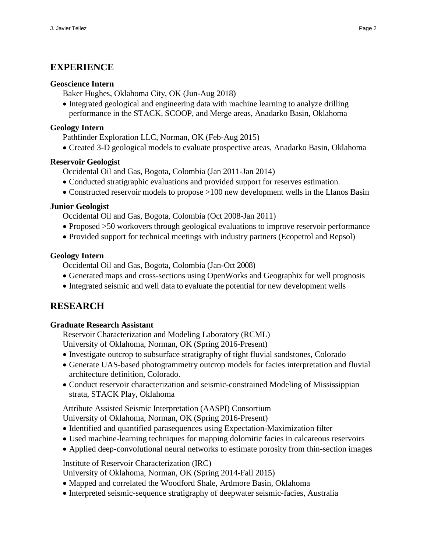### **EXPERIENCE**

#### **Geoscience Intern**

Baker Hughes, Oklahoma City, OK (Jun-Aug 2018)

• Integrated geological and engineering data with machine learning to analyze drilling performance in the STACK, SCOOP, and Merge areas, Anadarko Basin, Oklahoma

#### **Geology Intern**

Pathfinder Exploration LLC, Norman, OK (Feb-Aug 2015)

• Created 3-D geological models to evaluate prospective areas, Anadarko Basin, Oklahoma

#### **Reservoir Geologist**

- Occidental Oil and Gas, Bogota, Colombia (Jan 2011-Jan 2014)
- Conducted stratigraphic evaluations and provided support for reserves estimation.
- Constructed reservoir models to propose >100 new development wells in the Llanos Basin

#### **Junior Geologist**

Occidental Oil and Gas, Bogota, Colombia (Oct 2008-Jan 2011)

- Proposed >50 workovers through geological evaluations to improve reservoir performance
- Provided support for technical meetings with industry partners (Ecopetrol and Repsol)

#### **Geology Intern**

Occidental Oil and Gas, Bogota, Colombia (Jan-Oct 2008)

- Generated maps and cross-sections using OpenWorks and Geographix for well prognosis
- Integrated seismic and well data to evaluate the potential for new development wells

## **RESEARCH**

### **Graduate Research Assistant**

Reservoir Characterization and Modeling Laboratory (RCML)

- University of Oklahoma, Norman, OK (Spring 2016-Present)
- Investigate outcrop to subsurface stratigraphy of tight fluvial sandstones, Colorado
- Generate UAS-based photogrammetry outcrop models for facies interpretation and fluvial architecture definition, Colorado.
- Conduct reservoir characterization and seismic-constrained Modeling of Mississippian strata, STACK Play, Oklahoma

Attribute Assisted Seismic Interpretation (AASPI) Consortium University of Oklahoma, Norman, OK (Spring 2016-Present)

- Identified and quantified parasequences using Expectation-Maximization filter
- Used machine-learning techniques for mapping dolomitic facies in calcareous reservoirs
- Applied deep-convolutional neural networks to estimate porosity from thin-section images

Institute of Reservoir Characterization (IRC)

University of Oklahoma, Norman, OK (Spring 2014-Fall 2015)

- Mapped and correlated the Woodford Shale, Ardmore Basin, Oklahoma
- Interpreted seismic-sequence stratigraphy of deepwater seismic-facies, Australia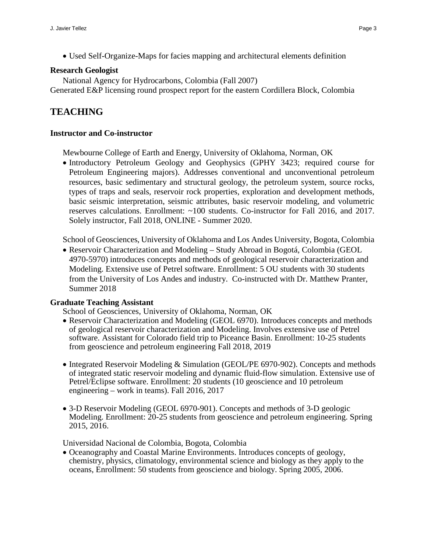• Used Self-Organize-Maps for facies mapping and architectural elements definition

#### **Research Geologist**

National Agency for Hydrocarbons, Colombia (Fall 2007) Generated E&P licensing round prospect report for the eastern Cordillera Block, Colombia

# **TEACHING**

#### **Instructor and Co-instructor**

Mewbourne College of Earth and Energy, University of Oklahoma, Norman, OK

• Introductory Petroleum Geology and Geophysics (GPHY 3423; required course for Petroleum Engineering majors). Addresses conventional and unconventional petroleum resources, basic sedimentary and structural geology, the petroleum system, source rocks, types of traps and seals, reservoir rock properties, exploration and development methods, basic seismic interpretation, seismic attributes, basic reservoir modeling, and volumetric reserves calculations. Enrollment: ~100 students. Co-instructor for Fall 2016, and 2017. Solely instructor, Fall 2018, ONLINE - Summer 2020.

School of Geosciences, University of Oklahoma and Los Andes University, Bogota, Colombia

• Reservoir Characterization and Modeling – Study Abroad in Bogotá, Colombia (GEOL 4970-5970) introduces concepts and methods of geological reservoir characterization and Modeling. Extensive use of Petrel software. Enrollment: 5 OU students with 30 students from the University of Los Andes and industry. Co-instructed with Dr. Matthew Pranter, Summer 2018

#### **Graduate Teaching Assistant**

School of Geosciences, University of Oklahoma, Norman, OK

- Reservoir Characterization and Modeling (GEOL 6970). Introduces concepts and methods of geological reservoir characterization and Modeling. Involves extensive use of Petrel software. Assistant for Colorado field trip to Piceance Basin. Enrollment: 10-25 students from geoscience and petroleum engineering Fall 2018, 2019
- Integrated Reservoir Modeling & Simulation (GEOL/PE 6970-902). Concepts and methods of integrated static reservoir modeling and dynamic fluid-flow simulation. Extensive use of Petrel/Eclipse software. Enrollment: 20 students (10 geoscience and 10 petroleum engineering – work in teams). Fall 2016, 2017
- 3-D Reservoir Modeling (GEOL 6970-901). Concepts and methods of 3-D geologic Modeling. Enrollment: 20-25 students from geoscience and petroleum engineering. Spring 2015, 2016.

Universidad Nacional de Colombia, Bogota, Colombia

• Oceanography and Coastal Marine Environments. Introduces concepts of geology, chemistry, physics, climatology, environmental science and biology as they apply to the oceans, Enrollment: 50 students from geoscience and biology. Spring 2005, 2006.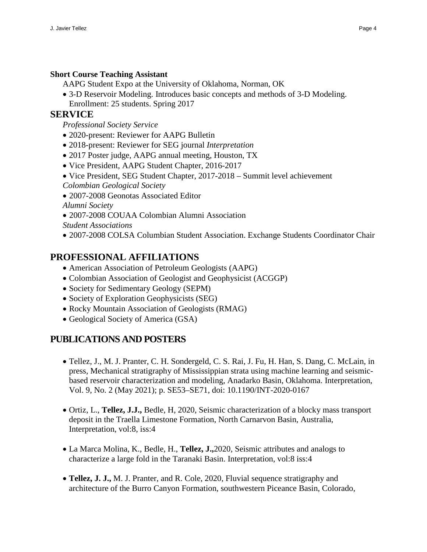### **Short Course Teaching Assistant**

AAPG Student Expo at the University of Oklahoma, Norman, OK

• 3-D Reservoir Modeling. Introduces basic concepts and methods of 3-D Modeling. Enrollment: 25 students. Spring 2017

### **SERVICE**

*Professional Society Service*

- 2020-present: Reviewer for AAPG Bulletin
- 2018-present: Reviewer for SEG journal *Interpretation*
- 2017 Poster judge, AAPG annual meeting, Houston, TX
- Vice President, AAPG Student Chapter, 2016-2017
- Vice President, SEG Student Chapter, 2017-2018 Summit level achievement
- *Colombian Geological Society*
- 2007-2008 Geonotas Associated Editor
- *Alumni Society*
- 2007-2008 COUAA Colombian Alumni Association
- *Student Associations*
- 2007-2008 COLSA Columbian Student Association. Exchange Students Coordinator Chair

# **PROFESSIONAL AFFILIATIONS**

- American Association of Petroleum Geologists (AAPG)
- Colombian Association of Geologist and Geophysicist (ACGGP)
- Society for Sedimentary Geology (SEPM)
- Society of Exploration Geophysicists (SEG)
- Rocky Mountain Association of Geologists (RMAG)
- Geological Society of America (GSA)

# **PUBLICATIONS AND POSTERS**

- Tellez, J., M. J. Pranter, C. H. Sondergeld, C. S. Rai, J. Fu, H. Han, S. Dang, C. McLain, in press, Mechanical stratigraphy of Mississippian strata using machine learning and seismicbased reservoir characterization and modeling, Anadarko Basin, Oklahoma. Interpretation, Vol. 9, No. 2 (May 2021); p. SE53–SE71, doi: 10.1190/INT-2020-0167
- Ortiz, L., **Tellez, J.J.,** Bedle, H, 2020, Seismic characterization of a blocky mass transport deposit in the Traella Limestone Formation, North Carnarvon Basin, Australia, Interpretation, vol:8, iss:4
- La Marca Molina, K., Bedle, H., **Tellez, J.,**2020, Seismic attributes and analogs to characterize a large fold in the Taranaki Basin. Interpretation, vol:8 iss:4
- **Tellez, J. J.,** M. J. Pranter, and R. Cole, 2020, Fluvial sequence stratigraphy and architecture of the Burro Canyon Formation, southwestern Piceance Basin, Colorado,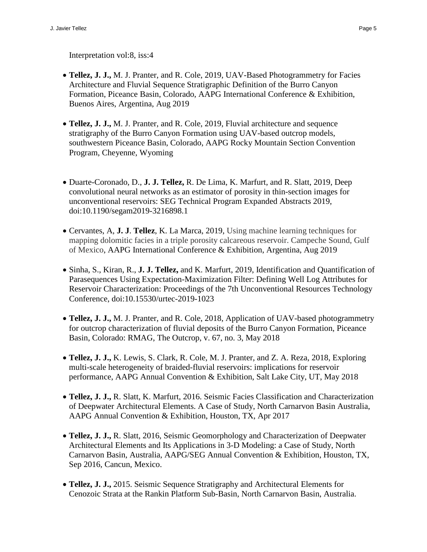Interpretation vol:8, iss:4

- **Tellez, J. J.,** M. J. Pranter, and R. Cole, 2019, UAV-Based Photogrammetry for Facies Architecture and Fluvial Sequence Stratigraphic Definition of the Burro Canyon Formation, Piceance Basin, Colorado, AAPG International Conference & Exhibition, Buenos Aires, Argentina, Aug 2019
- **Tellez, J. J.,** M. J. Pranter, and R. Cole, 2019, Fluvial architecture and sequence stratigraphy of the Burro Canyon Formation using UAV-based outcrop models, southwestern Piceance Basin, Colorado, AAPG Rocky Mountain Section Convention Program, Cheyenne, Wyoming
- Duarte-Coronado, D., **J. J. Tellez,** R. De Lima, K. Marfurt, and R. Slatt, 2019, Deep convolutional neural networks as an estimator of porosity in thin-section images for unconventional reservoirs: SEG Technical Program Expanded Abstracts 2019, doi:10.1190/segam2019-3216898.1
- Cervantes, A, **J. J**. **Tellez**, K. La Marca, 2019, Using machine learning techniques for mapping dolomitic facies in a triple porosity calcareous reservoir. Campeche Sound, Gulf of Mexico, AAPG International Conference & Exhibition, Argentina, Aug 2019
- Sinha, S., Kiran, R., **J. J. Tellez,** and K. Marfurt, 2019, Identification and Quantification of Parasequences Using Expectation-Maximization Filter: Defining Well Log Attributes for Reservoir Characterization: Proceedings of the 7th Unconventional Resources Technology Conference, doi:10.15530/urtec-2019-1023
- **Tellez, J. J.,** M. J. Pranter, and R. Cole, 2018, Application of UAV-based photogrammetry for outcrop characterization of fluvial deposits of the Burro Canyon Formation, Piceance Basin, Colorado: RMAG, The Outcrop, v. 67, no. 3, May 2018
- **Tellez, J. J.,** K. Lewis, S. Clark, R. Cole, M. J. Pranter, and Z. A. Reza, 2018, Exploring multi-scale heterogeneity of braided-fluvial reservoirs: implications for reservoir performance, AAPG Annual Convention & Exhibition, Salt Lake City, UT, May 2018
- **Tellez, J. J.,** R. Slatt, K. Marfurt, 2016. Seismic Facies Classification and Characterization of Deepwater Architectural Elements. A Case of Study, North Carnarvon Basin Australia, AAPG Annual Convention & Exhibition, Houston, TX, Apr 2017
- **Tellez, J. J.,** R. Slatt, 2016, Seismic Geomorphology and Characterization of Deepwater Architectural Elements and Its Applications in 3-D Modeling: a Case of Study, North Carnarvon Basin, Australia, AAPG/SEG Annual Convention & Exhibition, Houston, TX, Sep 2016, Cancun, Mexico.
- **Tellez, J. J.,** 2015. Seismic Sequence Stratigraphy and Architectural Elements for Cenozoic Strata at the Rankin Platform Sub-Basin, North Carnarvon Basin, Australia.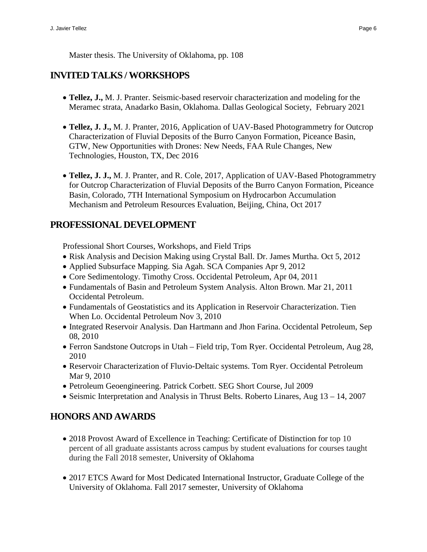Master thesis. The University of Oklahoma, pp. 108

## **INVITED TALKS / WORKSHOPS**

- **Tellez, J.,** M. J. Pranter. Seismic-based reservoir characterization and modeling for the Meramec strata, Anadarko Basin, Oklahoma. Dallas Geological Society, February 2021
- **Tellez, J. J.,** M. J. Pranter, 2016, Application of UAV-Based Photogrammetry for Outcrop Characterization of Fluvial Deposits of the Burro Canyon Formation, Piceance Basin, GTW, New Opportunities with Drones: New Needs, FAA Rule Changes, New Technologies, Houston, TX, Dec 2016
- **Tellez, J. J.,** M. J. Pranter, and R. Cole, 2017, Application of UAV-Based Photogrammetry for Outcrop Characterization of Fluvial Deposits of the Burro Canyon Formation, Piceance Basin, Colorado, 7TH International Symposium on Hydrocarbon Accumulation Mechanism and Petroleum Resources Evaluation, Beijing, China, Oct 2017

## **PROFESSIONAL DEVELOPMENT**

Professional Short Courses, Workshops, and Field Trips

- Risk Analysis and Decision Making using Crystal Ball. Dr. James Murtha. Oct 5, 2012
- Applied Subsurface Mapping. Sia Agah. SCA Companies Apr 9, 2012
- Core Sedimentology. Timothy Cross. Occidental Petroleum, Apr 04, 2011
- Fundamentals of Basin and Petroleum System Analysis. Alton Brown. Mar 21, 2011 Occidental Petroleum.
- Fundamentals of Geostatistics and its Application in Reservoir Characterization. Tien When Lo. Occidental Petroleum Nov 3, 2010
- Integrated Reservoir Analysis. Dan Hartmann and Jhon Farina. Occidental Petroleum, Sep 08, 2010
- Ferron Sandstone Outcrops in Utah Field trip, Tom Ryer. Occidental Petroleum, Aug 28, 2010
- Reservoir Characterization of Fluvio-Deltaic systems. Tom Ryer. Occidental Petroleum Mar 9, 2010
- Petroleum Geoengineering. Patrick Corbett. SEG Short Course, Jul 2009
- Seismic Interpretation and Analysis in Thrust Belts. Roberto Linares, Aug 13 14, 2007

# **HONORS AND AWARDS**

- 2018 Provost Award of Excellence in Teaching: Certificate of Distinction for top 10 percent of all graduate assistants across campus by student evaluations for courses taught during the Fall 2018 semester, University of Oklahoma
- 2017 ETCS Award for Most Dedicated International Instructor, Graduate College of the University of Oklahoma. Fall 2017 semester, University of Oklahoma